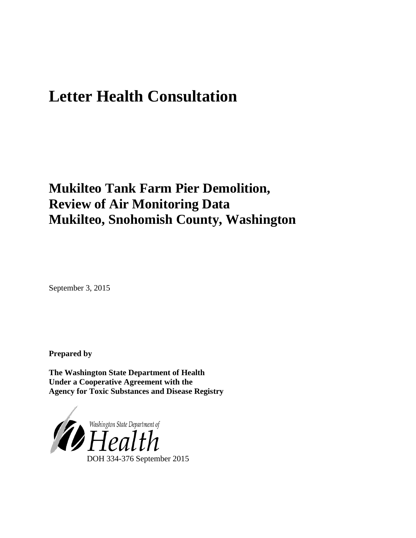# **Letter Health Consultation**

## **Mukilteo Tank Farm Pier Demolition, Review of Air Monitoring Data Mukilteo, Snohomish County, Washington**

September 3, 2015

**Prepared by**

**The Washington State Department of Health Under a Cooperative Agreement with the Agency for Toxic Substances and Disease Registry**

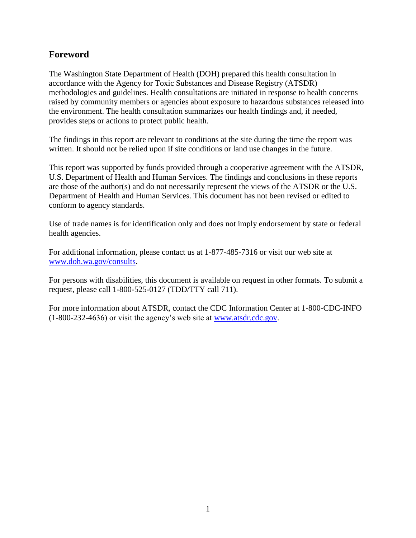#### **Foreword**

The Washington State Department of Health (DOH) prepared this health consultation in accordance with the Agency for Toxic Substances and Disease Registry (ATSDR) methodologies and guidelines. Health consultations are initiated in response to health concerns raised by community members or agencies about exposure to hazardous substances released into the environment. The health consultation summarizes our health findings and, if needed, provides steps or actions to protect public health.

The findings in this report are relevant to conditions at the site during the time the report was written. It should not be relied upon if site conditions or land use changes in the future.

This report was supported by funds provided through a cooperative agreement with the ATSDR, U.S. Department of Health and Human Services. The findings and conclusions in these reports are those of the author(s) and do not necessarily represent the views of the ATSDR or the U.S. Department of Health and Human Services. This document has not been revised or edited to conform to agency standards.

Use of trade names is for identification only and does not imply endorsement by state or federal health agencies.

For additional information, please contact us at 1-877-485-7316 or visit our web site at [www.doh.wa.gov/consults.](http://www.doh.wa.gov/consults)

For persons with disabilities, this document is available on request in other formats. To submit a request, please call 1-800-525-0127 (TDD/TTY call 711).

For more information about ATSDR, contact the CDC Information Center at 1-800-CDC-INFO (1-800-232-4636) or visit the agency's web site at [www.atsdr.cdc.gov.](http://www.atsdr.cdc.gov/)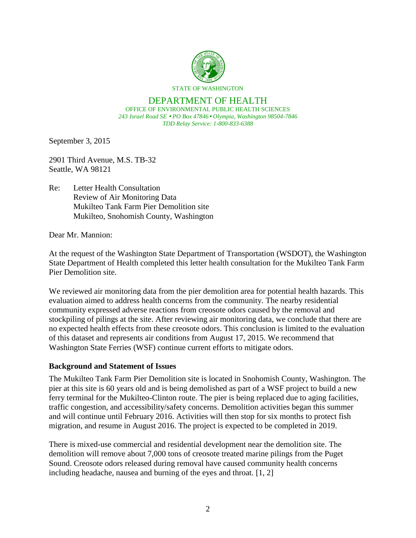

#### DEPARTMENT OF HEALTH OFFICE OF ENVIRONMENTAL PUBLIC HEALTH SCIENCES *243 Israel Road SE PO Box 47846 Olympia, Washington 98504-7846 TDD Relay Service: 1-800-833-6388*

September 3, 2015

2901 Third Avenue, M.S. TB-32 Seattle, WA 98121

Re: Letter Health Consultation Review of Air Monitoring Data Mukilteo Tank Farm Pier Demolition site Mukilteo, Snohomish County, Washington

Dear Mr. Mannion:

At the request of the Washington State Department of Transportation (WSDOT), the Washington State Department of Health completed this letter health consultation for the Mukilteo Tank Farm Pier Demolition site.

We reviewed air monitoring data from the pier demolition area for potential health hazards. This evaluation aimed to address health concerns from the community. The nearby residential community expressed adverse reactions from creosote odors caused by the removal and stockpiling of pilings at the site. After reviewing air monitoring data, we conclude that there are no expected health effects from these creosote odors. This conclusion is limited to the evaluation of this dataset and represents air conditions from August 17, 2015. We recommend that Washington State Ferries (WSF) continue current efforts to mitigate odors.

#### **Background and Statement of Issues**

The Mukilteo Tank Farm Pier Demolition site is located in Snohomish County, Washington. The pier at this site is 60 years old and is being demolished as part of a WSF project to build a new ferry terminal for the Mukilteo-Clinton route. The pier is being replaced due to aging facilities, traffic congestion, and accessibility/safety concerns. Demolition activities began this summer and will continue until February 2016. Activities will then stop for six months to protect fish migration, and resume in August 2016. The project is expected to be completed in 2019.

There is mixed-use commercial and residential development near the demolition site. The demolition will remove about 7,000 tons of creosote treated marine pilings from the Puget Sound. Creosote odors released during removal have caused community health concerns including headache, nausea and burning of the eyes and throat. [1, 2]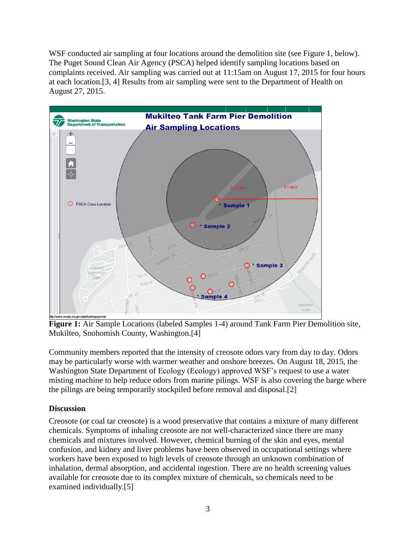WSF conducted air sampling at four locations around the demolition site (see Figure 1, below). The Puget Sound Clean Air Agency (PSCA) helped identify sampling locations based on complaints received. Air sampling was carried out at 11:15am on August 17, 2015 for four hours at each location.[3, 4] Results from air sampling were sent to the Department of Health on August 27, 2015.



**Figure 1:** Air Sample Locations (labeled Samples 1-4) around Tank Farm Pier Demolition site, Mukilteo, Snohomish County, Washington.[4]

Community members reported that the intensity of creosote odors vary from day to day. Odors may be particularly worse with warmer weather and onshore breezes. On August 18, 2015, the Washington State Department of Ecology (Ecology) approved WSF's request to use a water misting machine to help reduce odors from marine pilings. WSF is also covering the barge where the pilings are being temporarily stockpiled before removal and disposal.[2]

#### **Discussion**

Creosote (or coal tar creosote) is a wood preservative that contains a mixture of many different chemicals. Symptoms of inhaling creosote are not well-characterized since there are many chemicals and mixtures involved. However, chemical burning of the skin and eyes, mental confusion, and kidney and liver problems have been observed in occupational settings where workers have been exposed to high levels of creosote through an unknown combination of inhalation, dermal absorption, and accidental ingestion. There are no health screening values available for creosote due to its complex mixture of chemicals, so chemicals need to be examined individually.[5]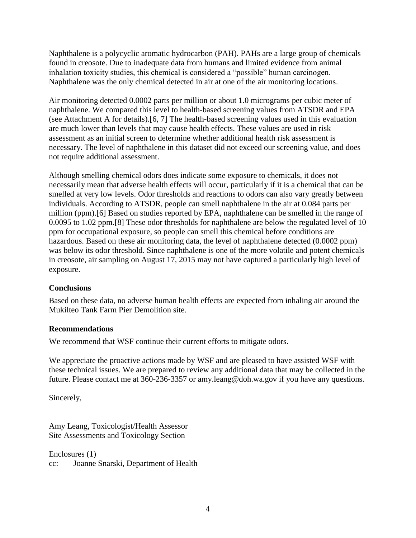Naphthalene is a polycyclic aromatic hydrocarbon (PAH). PAHs are a large group of chemicals found in creosote. Due to inadequate data from humans and limited evidence from animal inhalation toxicity studies, this chemical is considered a "possible" human carcinogen. Naphthalene was the only chemical detected in air at one of the air monitoring locations.

Air monitoring detected 0.0002 parts per million or about 1.0 micrograms per cubic meter of naphthalene. We compared this level to health-based screening values from ATSDR and EPA (see Attachment A for details).[6, 7] The health-based screening values used in this evaluation are much lower than levels that may cause health effects. These values are used in risk assessment as an initial screen to determine whether additional health risk assessment is necessary. The level of naphthalene in this dataset did not exceed our screening value, and does not require additional assessment.

Although smelling chemical odors does indicate some exposure to chemicals, it does not necessarily mean that adverse health effects will occur, particularly if it is a chemical that can be smelled at very low levels. Odor thresholds and reactions to odors can also vary greatly between individuals. According to ATSDR, people can smell naphthalene in the air at 0.084 parts per million (ppm).[6] Based on studies reported by EPA, naphthalene can be smelled in the range of 0.0095 to 1.02 ppm.[8] These odor thresholds for naphthalene are below the regulated level of 10 ppm for occupational exposure, so people can smell this chemical before conditions are hazardous. Based on these air monitoring data, the level of naphthalene detected (0.0002 ppm) was below its odor threshold. Since naphthalene is one of the more volatile and potent chemicals in creosote, air sampling on August 17, 2015 may not have captured a particularly high level of exposure.

#### **Conclusions**

Based on these data, no adverse human health effects are expected from inhaling air around the Mukilteo Tank Farm Pier Demolition site.

#### **Recommendations**

We recommend that WSF continue their current efforts to mitigate odors.

We appreciate the proactive actions made by WSF and are pleased to have assisted WSF with these technical issues. We are prepared to review any additional data that may be collected in the future. Please contact me at 360-236-3357 or [amy.leang@doh.wa.gov](mailto:amy.leang@doh.wa.gov) if you have any questions.

Sincerely,

Amy Leang, Toxicologist/Health Assessor Site Assessments and Toxicology Section

Enclosures (1) cc: Joanne Snarski, Department of Health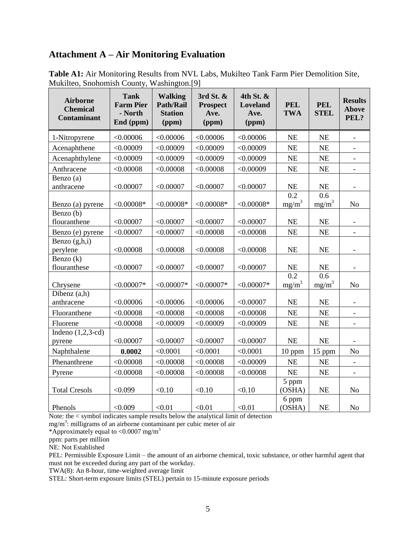#### **Attachment A – Air Monitoring Evaluation**

| <b>Airborne</b><br><b>Chemical</b><br><b>Contaminant</b> | <b>Tank</b><br><b>Farm Pier</b><br>- North<br>End (ppm) | <b>Walking</b><br><b>Path/Rail</b><br><b>Station</b><br>(ppm) | 3rd St. $&$<br><b>Prospect</b><br>Ave.<br>(ppm) | 4th St. &<br>Loveland<br>Ave.<br>(ppm) | <b>PEL</b><br><b>TWA</b>     | <b>PEL</b><br><b>STEL</b> | <b>Results</b><br><b>Above</b><br>PEL? |
|----------------------------------------------------------|---------------------------------------------------------|---------------------------------------------------------------|-------------------------------------------------|----------------------------------------|------------------------------|---------------------------|----------------------------------------|
| 1-Nitropyrene                                            | < 0.00006                                               | < 0.00006                                                     | < 0.00006                                       | < 0.00006                              | <b>NE</b>                    | <b>NE</b>                 | $\overline{\phantom{a}}$               |
| Acenaphthene                                             | < 0.00009                                               | < 0.00009                                                     | < 0.00009                                       | < 0.00009                              | <b>NE</b>                    | <b>NE</b>                 | $\mathbf{r}$                           |
| Acenaphthylene                                           | < 0.00009                                               | < 0.00009                                                     | < 0.00009                                       | < 0.00009                              | <b>NE</b>                    | NE                        | $\overline{\phantom{a}}$               |
| Anthracene                                               | < 0.00008                                               | < 0.00008                                                     | < 0.00008                                       | < 0.00009                              | <b>NE</b>                    | <b>NE</b>                 |                                        |
| Benzo (a)<br>anthracene                                  | < 0.00007                                               | < 0.00007                                                     | < 0.00007                                       | < 0.00007                              | NE                           | NE                        |                                        |
| Benzo (a) pyrene                                         | $< 0.00008*$                                            | $< 0.00008*$                                                  | $< 0.00008*$                                    | $< 0.00008*$                           | $\overline{0.2}$<br>$mg/m^3$ | 0.6<br>mg/m <sup>3</sup>  | N <sub>o</sub>                         |
| Benzo (b)<br>flouranthene                                | < 0.00007                                               | < 0.00007                                                     | < 0.00007                                       | < 0.00007                              | <b>NE</b>                    | <b>NE</b>                 |                                        |
| Benzo (e) pyrene                                         | < 0.00007                                               | < 0.00007                                                     | < 0.00008                                       | < 0.00008                              | <b>NE</b>                    | NE                        |                                        |
| Benzo $(g,h,i)$<br>perylene                              | < 0.00008                                               | < 0.00008                                                     | < 0.00008                                       | < 0.00008                              | <b>NE</b>                    | <b>NE</b>                 | $\overline{\phantom{a}}$               |
| Benzo $(k)$<br>flouranthese                              | < 0.00007                                               | < 0.00007                                                     | < 0.00007                                       | < 0.00007                              | <b>NE</b>                    | <b>NE</b>                 | $\blacksquare$                         |
| Chrysene                                                 | $< 0.00007*$                                            | $< 0.00007*$                                                  | $< 0.00007*$                                    | $< 0.00007*$                           | 0.2<br>$mg/m^3$              | 0.6<br>$mg/m^3$           | N <sub>o</sub>                         |
| Dibenz $(a,h)$<br>anthracene                             | < 0.00006                                               | < 0.00006                                                     | < 0.00006                                       | < 0.00007                              | <b>NE</b>                    | <b>NE</b>                 | $\overline{\phantom{a}}$               |
| Fluoranthene                                             | < 0.00008                                               | < 0.00008                                                     | < 0.00008                                       | < 0.00008                              | NE                           | NE                        | $\mathbf{r}$                           |
| Fluorene                                                 | < 0.00008                                               | < 0.00009                                                     | < 0.00009                                       | < 0.00009                              | <b>NE</b>                    | <b>NE</b>                 | $\overline{\phantom{a}}$               |
| Indeno $(1,2,3-cd)$<br>pyrene                            | < 0.00007                                               | < 0.00007                                                     | < 0.00007                                       | < 0.00007                              | <b>NE</b>                    | NE                        |                                        |
| Naphthalene                                              | 0.0002                                                  | < 0.0001                                                      | < 0.0001                                        | < 0.0001                               | $10$ ppm                     | 15 ppm                    | N <sub>0</sub>                         |
| Phenanthrene                                             | < 0.00008                                               | < 0.00008                                                     | < 0.00008                                       | < 0.00009                              | <b>NE</b>                    | <b>NE</b>                 |                                        |
| Pyrene                                                   | < 0.00008                                               | < 0.00008                                                     | < 0.00008                                       | < 0.00008                              | NE                           | NE                        | $\equiv$                               |
| <b>Total Cresols</b>                                     | < 0.099                                                 | < 0.10                                                        | < 0.10                                          | < 0.10                                 | 5 ppm<br>(OSHA)              | <b>NE</b>                 | N <sub>o</sub>                         |
| Phenols                                                  | < 0.009                                                 | < 0.01                                                        | < 0.01                                          | < 0.01                                 | 6 ppm<br>(OSHA)              | <b>NE</b>                 | N <sub>o</sub>                         |

**Table A1:** Air Monitoring Results from NVL Labs, Mukilteo Tank Farm Pier Demolition Site, Mukilteo, Snohomish County, Washington.[9]

Note: the < symbol indicates sample results below the analytical limit of detection

mg/m<sup>3</sup>: milligrams of an airborne contaminant per cubic meter of air

\*Approximately equal to <0.0007 mg/m<sup>3</sup>

ppm: parts per million

NE: Not Established

PEL: Permissible Exposure Limit – the amount of an airborne chemical, toxic substance, or other harmful agent that must not be exceeded during any part of the workday.

TWA(8): An 8-hour, time-weighted average limit

STEL: Short-term exposure limits (STEL) pertain to 15-minute exposure periods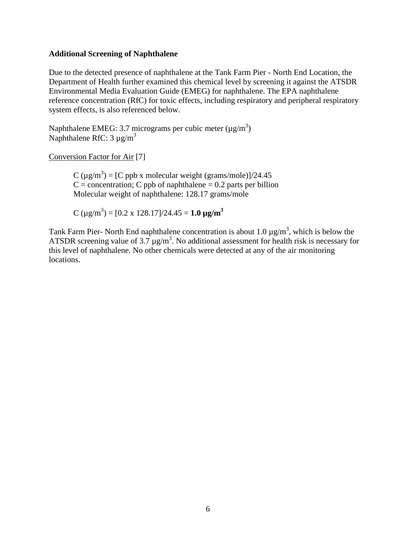#### **Additional Screening of Naphthalene**

Due to the detected presence of naphthalene at the Tank Farm Pier - North End Location, the Department of Health further examined this chemical level by screening it against the ATSDR Environmental Media Evaluation Guide (EMEG) for naphthalene. The EPA naphthalene reference concentration (RfC) for toxic effects, including respiratory and peripheral respiratory system effects, is also referenced below.

Naphthalene EMEG: 3.7 micrograms per cubic meter ( $\mu$ g/m<sup>3</sup>) Naphthalene RfC:  $3 \mu g/m^3$ 

Conversion Factor for Air [7]

C ( $\mu$ g/m<sup>3</sup>) = [C ppb x molecular weight (grams/mole)]/24.45  $C =$  concentration; C ppb of naphthalene = 0.2 parts per billion Molecular weight of naphthalene: 128.17 grams/mole

 $C (\mu g/m^3) = [0.2 \times 128.17]/24.45 = 1.0 \mu g/m^3$ 

Tank Farm Pier- North End naphthalene concentration is about 1.0  $\mu$ g/m<sup>3</sup>, which is below the ATSDR screening value of  $3.7 \mu g/m^3$ . No additional assessment for health risk is necessary for this level of naphthalene. No other chemicals were detected at any of the air monitoring locations.